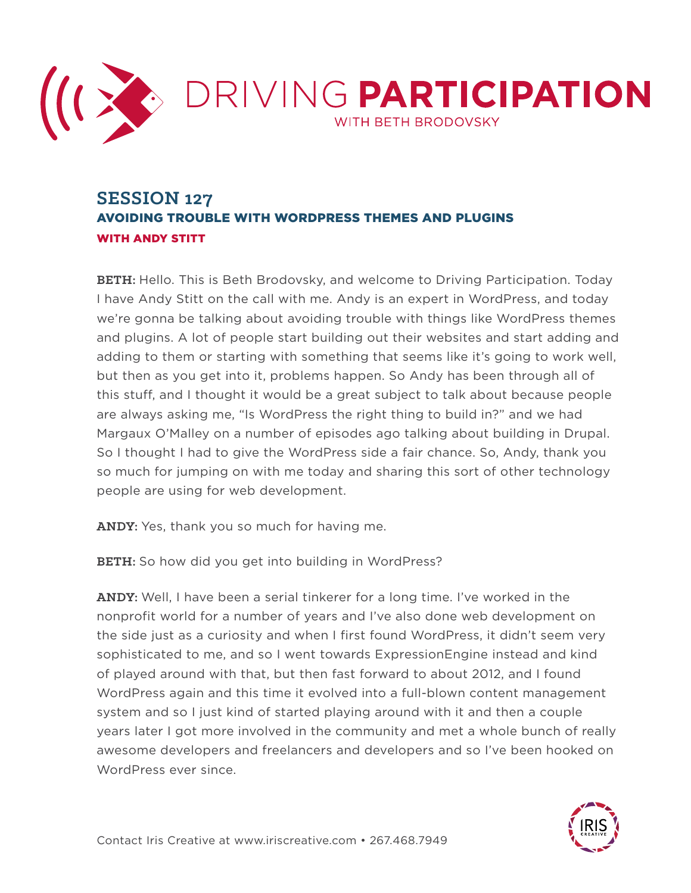

## **SESSION 127** AVOIDING TROUBLE WITH WORDPRESS THEMES AND PLUGINS WITH ANDY STITT

**BETH:** Hello. This is Beth Brodovsky, and welcome to Driving Participation. Today I have Andy Stitt on the call with me. Andy is an expert in WordPress, and today we're gonna be talking about avoiding trouble with things like WordPress themes and plugins. A lot of people start building out their websites and start adding and adding to them or starting with something that seems like it's going to work well, but then as you get into it, problems happen. So Andy has been through all of this stuff, and I thought it would be a great subject to talk about because people are always asking me, "Is WordPress the right thing to build in?" and we had Margaux O'Malley on a number of episodes ago talking about building in Drupal. So I thought I had to give the WordPress side a fair chance. So, Andy, thank you so much for jumping on with me today and sharing this sort of other technology people are using for web development.

**ANDY:** Yes, thank you so much for having me.

**BETH:** So how did you get into building in WordPress?

**ANDY:** Well, I have been a serial tinkerer for a long time. I've worked in the nonprofit world for a number of years and I've also done web development on the side just as a curiosity and when I first found WordPress, it didn't seem very sophisticated to me, and so I went towards ExpressionEngine instead and kind of played around with that, but then fast forward to about 2012, and I found WordPress again and this time it evolved into a full-blown content management system and so I just kind of started playing around with it and then a couple years later I got more involved in the community and met a whole bunch of really awesome developers and freelancers and developers and so I've been hooked on WordPress ever since.

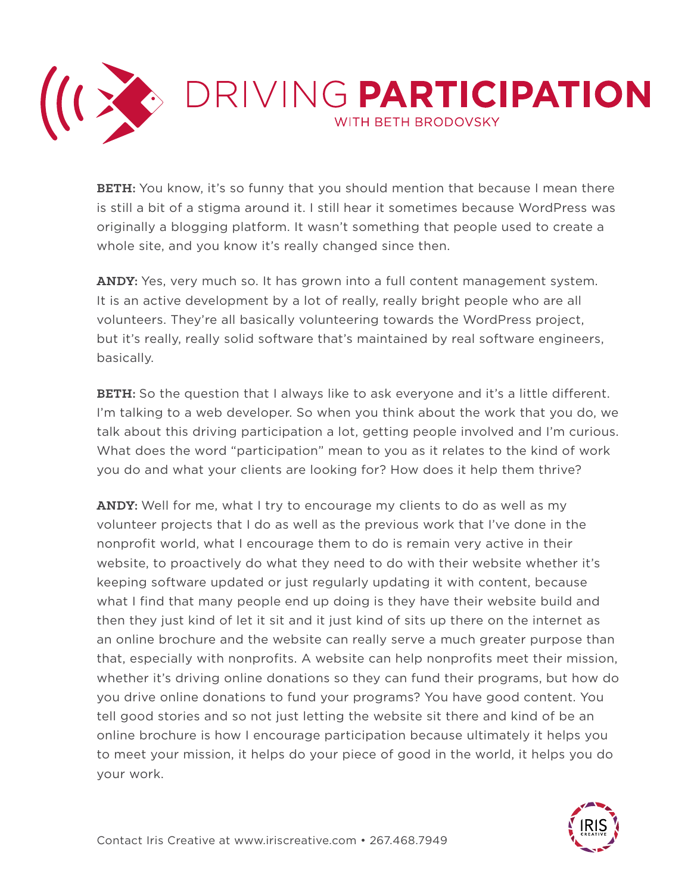

**BETH:** You know, it's so funny that you should mention that because I mean there is still a bit of a stigma around it. I still hear it sometimes because WordPress was originally a blogging platform. It wasn't something that people used to create a whole site, and you know it's really changed since then.

**ANDY:** Yes, very much so. It has grown into a full content management system. It is an active development by a lot of really, really bright people who are all volunteers. They're all basically volunteering towards the WordPress project, but it's really, really solid software that's maintained by real software engineers, basically.

**BETH:** So the question that I always like to ask everyone and it's a little different. I'm talking to a web developer. So when you think about the work that you do, we talk about this driving participation a lot, getting people involved and I'm curious. What does the word "participation" mean to you as it relates to the kind of work you do and what your clients are looking for? How does it help them thrive?

**ANDY:** Well for me, what I try to encourage my clients to do as well as my volunteer projects that I do as well as the previous work that I've done in the nonprofit world, what I encourage them to do is remain very active in their website, to proactively do what they need to do with their website whether it's keeping software updated or just regularly updating it with content, because what I find that many people end up doing is they have their website build and then they just kind of let it sit and it just kind of sits up there on the internet as an online brochure and the website can really serve a much greater purpose than that, especially with nonprofits. A website can help nonprofits meet their mission, whether it's driving online donations so they can fund their programs, but how do you drive online donations to fund your programs? You have good content. You tell good stories and so not just letting the website sit there and kind of be an online brochure is how I encourage participation because ultimately it helps you to meet your mission, it helps do your piece of good in the world, it helps you do your work.

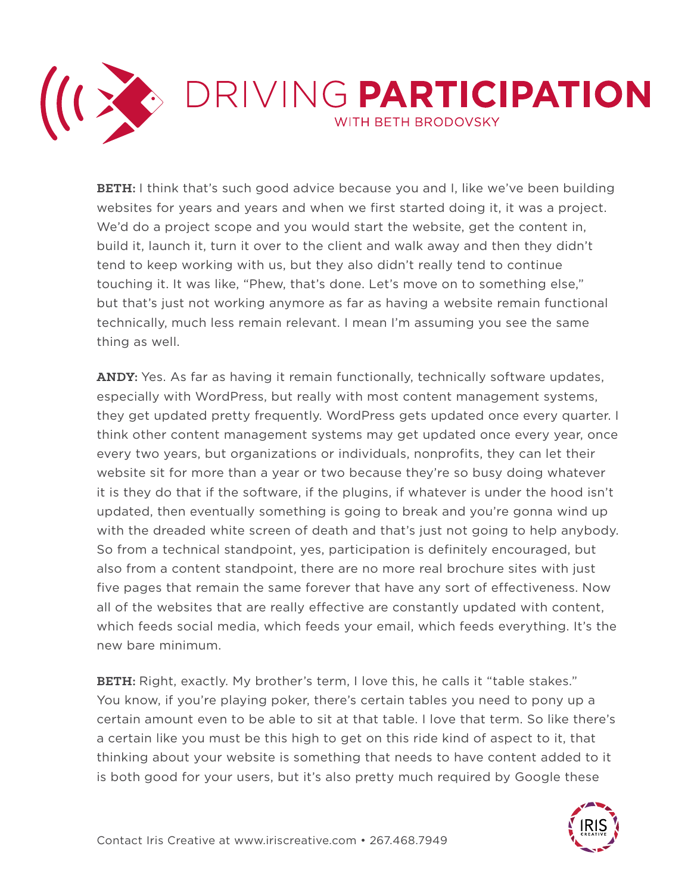

**BETH:** I think that's such good advice because you and I, like we've been building websites for years and years and when we first started doing it, it was a project. We'd do a project scope and you would start the website, get the content in, build it, launch it, turn it over to the client and walk away and then they didn't tend to keep working with us, but they also didn't really tend to continue touching it. It was like, "Phew, that's done. Let's move on to something else," but that's just not working anymore as far as having a website remain functional technically, much less remain relevant. I mean I'm assuming you see the same thing as well.

**ANDY:** Yes. As far as having it remain functionally, technically software updates, especially with WordPress, but really with most content management systems, they get updated pretty frequently. WordPress gets updated once every quarter. I think other content management systems may get updated once every year, once every two years, but organizations or individuals, nonprofits, they can let their website sit for more than a year or two because they're so busy doing whatever it is they do that if the software, if the plugins, if whatever is under the hood isn't updated, then eventually something is going to break and you're gonna wind up with the dreaded white screen of death and that's just not going to help anybody. So from a technical standpoint, yes, participation is definitely encouraged, but also from a content standpoint, there are no more real brochure sites with just five pages that remain the same forever that have any sort of effectiveness. Now all of the websites that are really effective are constantly updated with content, which feeds social media, which feeds your email, which feeds everything. It's the new bare minimum.

**BETH:** Right, exactly. My brother's term, I love this, he calls it "table stakes." You know, if you're playing poker, there's certain tables you need to pony up a certain amount even to be able to sit at that table. I love that term. So like there's a certain like you must be this high to get on this ride kind of aspect to it, that thinking about your website is something that needs to have content added to it is both good for your users, but it's also pretty much required by Google these

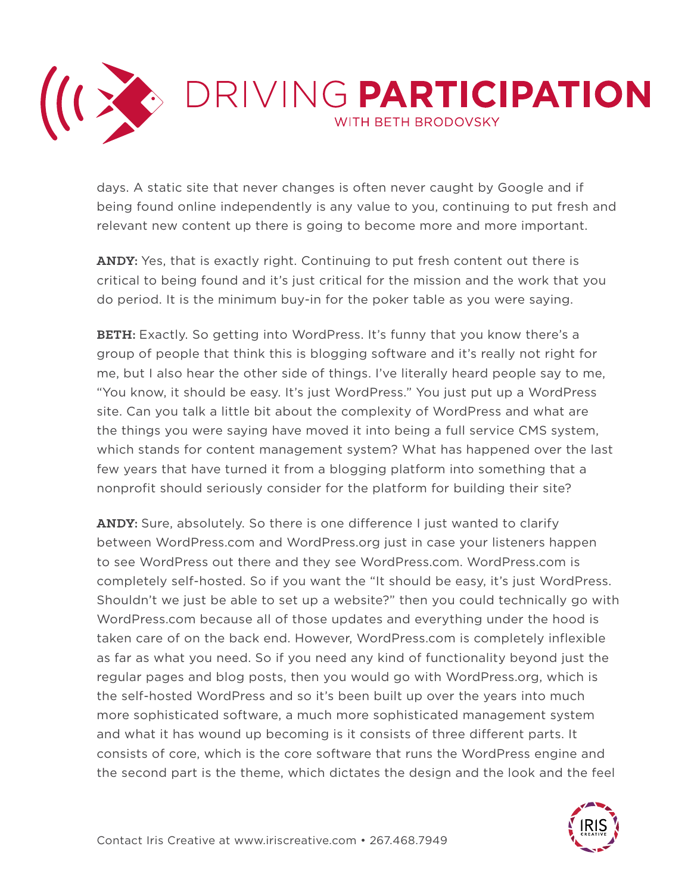

days. A static site that never changes is often never caught by Google and if being found online independently is any value to you, continuing to put fresh and relevant new content up there is going to become more and more important.

**ANDY:** Yes, that is exactly right. Continuing to put fresh content out there is critical to being found and it's just critical for the mission and the work that you do period. It is the minimum buy-in for the poker table as you were saying.

**BETH:** Exactly. So getting into WordPress. It's funny that you know there's a group of people that think this is blogging software and it's really not right for me, but I also hear the other side of things. I've literally heard people say to me, "You know, it should be easy. It's just WordPress." You just put up a WordPress site. Can you talk a little bit about the complexity of WordPress and what are the things you were saying have moved it into being a full service CMS system, which stands for content management system? What has happened over the last few years that have turned it from a blogging platform into something that a nonprofit should seriously consider for the platform for building their site?

**ANDY:** Sure, absolutely. So there is one difference I just wanted to clarify between WordPress.com and WordPress.org just in case your listeners happen to see WordPress out there and they see WordPress.com. WordPress.com is completely self-hosted. So if you want the "It should be easy, it's just WordPress. Shouldn't we just be able to set up a website?" then you could technically go with WordPress.com because all of those updates and everything under the hood is taken care of on the back end. However, WordPress.com is completely inflexible as far as what you need. So if you need any kind of functionality beyond just the regular pages and blog posts, then you would go with WordPress.org, which is the self-hosted WordPress and so it's been built up over the years into much more sophisticated software, a much more sophisticated management system and what it has wound up becoming is it consists of three different parts. It consists of core, which is the core software that runs the WordPress engine and the second part is the theme, which dictates the design and the look and the feel

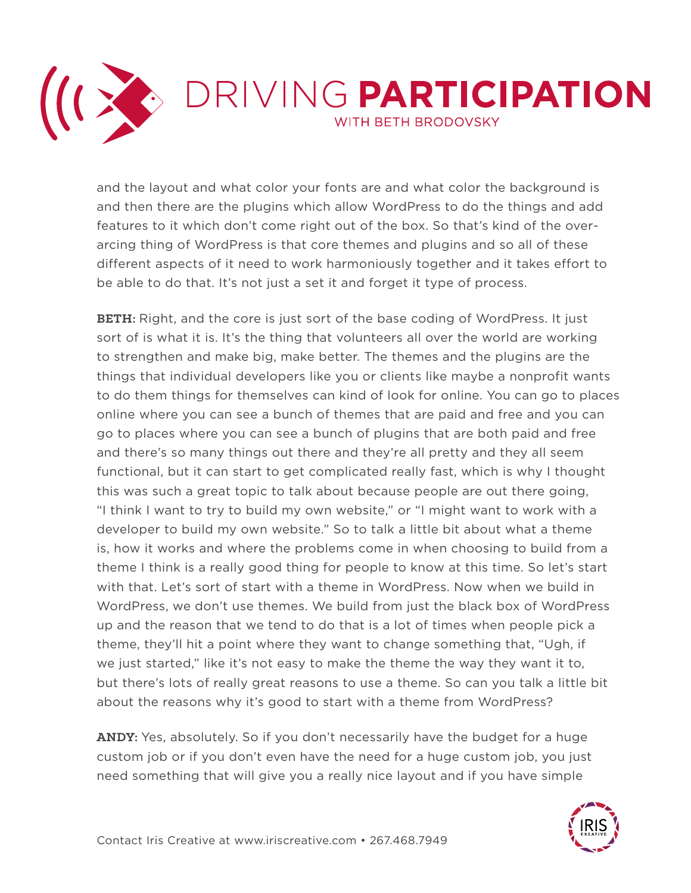

and the layout and what color your fonts are and what color the background is and then there are the plugins which allow WordPress to do the things and add features to it which don't come right out of the box. So that's kind of the overarcing thing of WordPress is that core themes and plugins and so all of these different aspects of it need to work harmoniously together and it takes effort to be able to do that. It's not just a set it and forget it type of process.

**BETH:** Right, and the core is just sort of the base coding of WordPress. It just sort of is what it is. It's the thing that volunteers all over the world are working to strengthen and make big, make better. The themes and the plugins are the things that individual developers like you or clients like maybe a nonprofit wants to do them things for themselves can kind of look for online. You can go to places online where you can see a bunch of themes that are paid and free and you can go to places where you can see a bunch of plugins that are both paid and free and there's so many things out there and they're all pretty and they all seem functional, but it can start to get complicated really fast, which is why I thought this was such a great topic to talk about because people are out there going, "I think I want to try to build my own website," or "I might want to work with a developer to build my own website." So to talk a little bit about what a theme is, how it works and where the problems come in when choosing to build from a theme I think is a really good thing for people to know at this time. So let's start with that. Let's sort of start with a theme in WordPress. Now when we build in WordPress, we don't use themes. We build from just the black box of WordPress up and the reason that we tend to do that is a lot of times when people pick a theme, they'll hit a point where they want to change something that, "Ugh, if we just started," like it's not easy to make the theme the way they want it to, but there's lots of really great reasons to use a theme. So can you talk a little bit about the reasons why it's good to start with a theme from WordPress?

**ANDY:** Yes, absolutely. So if you don't necessarily have the budget for a huge custom job or if you don't even have the need for a huge custom job, you just need something that will give you a really nice layout and if you have simple

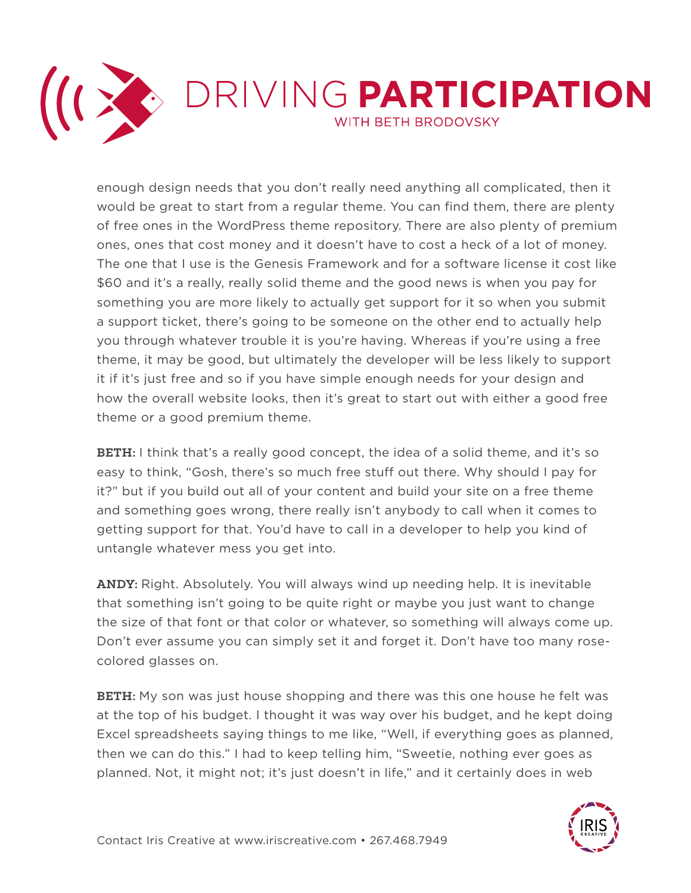

enough design needs that you don't really need anything all complicated, then it would be great to start from a regular theme. You can find them, there are plenty of free ones in the WordPress theme repository. There are also plenty of premium ones, ones that cost money and it doesn't have to cost a heck of a lot of money. The one that I use is the Genesis Framework and for a software license it cost like \$60 and it's a really, really solid theme and the good news is when you pay for something you are more likely to actually get support for it so when you submit a support ticket, there's going to be someone on the other end to actually help you through whatever trouble it is you're having. Whereas if you're using a free theme, it may be good, but ultimately the developer will be less likely to support it if it's just free and so if you have simple enough needs for your design and how the overall website looks, then it's great to start out with either a good free theme or a good premium theme.

**BETH:** I think that's a really good concept, the idea of a solid theme, and it's so easy to think, "Gosh, there's so much free stuff out there. Why should I pay for it?" but if you build out all of your content and build your site on a free theme and something goes wrong, there really isn't anybody to call when it comes to getting support for that. You'd have to call in a developer to help you kind of untangle whatever mess you get into.

**ANDY:** Right. Absolutely. You will always wind up needing help. It is inevitable that something isn't going to be quite right or maybe you just want to change the size of that font or that color or whatever, so something will always come up. Don't ever assume you can simply set it and forget it. Don't have too many rosecolored glasses on.

**BETH:** My son was just house shopping and there was this one house he felt was at the top of his budget. I thought it was way over his budget, and he kept doing Excel spreadsheets saying things to me like, "Well, if everything goes as planned, then we can do this." I had to keep telling him, "Sweetie, nothing ever goes as planned. Not, it might not; it's just doesn't in life," and it certainly does in web

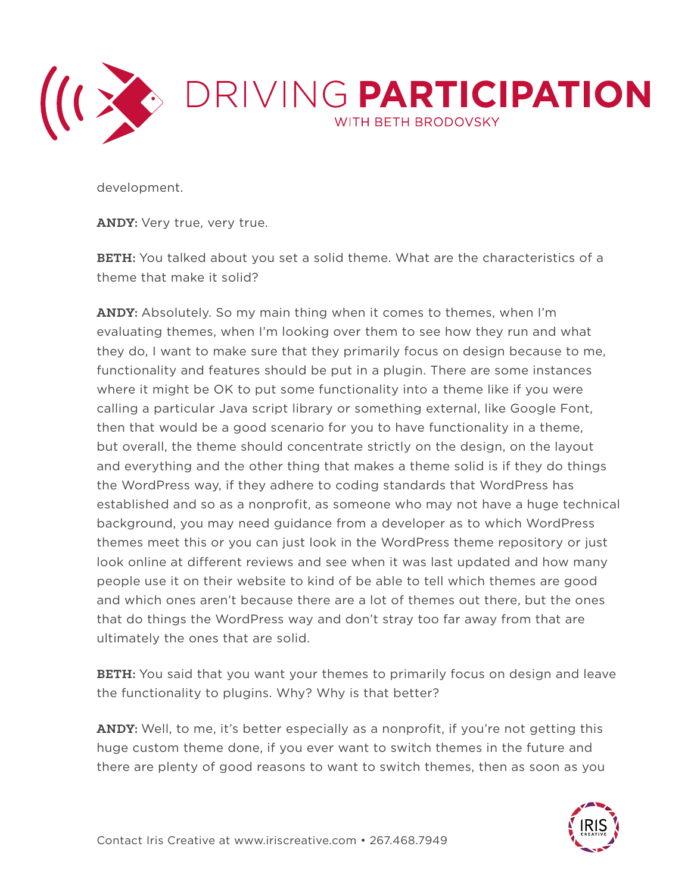

development.

**ANDY:** Very true, very true.

**BETH:** You talked about you set a solid theme. What are the characteristics of a theme that make it solid?

**ANDY:** Absolutely. So my main thing when it comes to themes, when I'm evaluating themes, when I'm looking over them to see how they run and what they do, I want to make sure that they primarily focus on design because to me, functionality and features should be put in a plugin. There are some instances where it might be OK to put some functionality into a theme like if you were calling a particular Java script library or something external, like Google Font, then that would be a good scenario for you to have functionality in a theme, but overall, the theme should concentrate strictly on the design, on the layout and everything and the other thing that makes a theme solid is if they do things the WordPress way, if they adhere to coding standards that WordPress has established and so as a nonprofit, as someone who may not have a huge technical background, you may need guidance from a developer as to which WordPress themes meet this or you can just look in the WordPress theme repository or just look online at different reviews and see when it was last updated and how many people use it on their website to kind of be able to tell which themes are good and which ones aren't because there are a lot of themes out there, but the ones that do things the WordPress way and don't stray too far away from that are ultimately the ones that are solid.

**BETH:** You said that you want your themes to primarily focus on design and leave the functionality to plugins. Why? Why is that better?

**ANDY:** Well, to me, it's better especially as a nonprofit, if you're not getting this huge custom theme done, if you ever want to switch themes in the future and there are plenty of good reasons to want to switch themes, then as soon as you

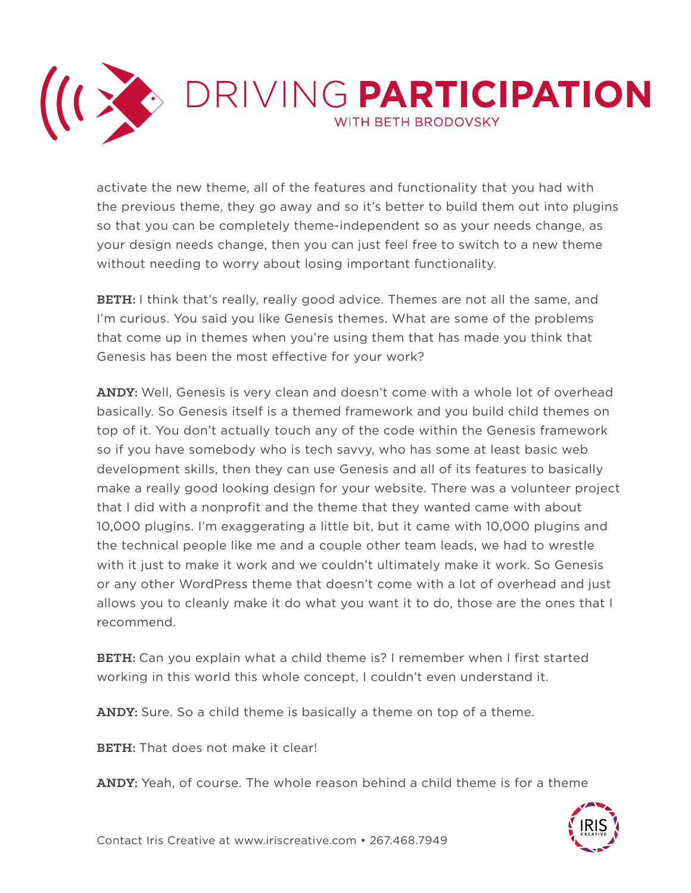

activate the new theme, all of the features and functionality that you had with the previous theme, they go away and so it's better to build them out into plugins so that you can be completely theme-independent so as your needs change, as your design needs change, then you can just feel free to switch to a new theme without needing to worry about losing important functionality.

**BETH:** I think that's really, really good advice. Themes are not all the same, and I'm curious. You said you like Genesis themes. What are some of the problems that come up in themes when you're using them that has made you think that Genesis has been the most effective for your work?

**ANDY:** Well, Genesis is very clean and doesn't come with a whole lot of overhead basically. So Genesis itself is a themed framework and you build child themes on top of it. You don't actually touch any of the code within the Genesis framework so if you have somebody who is tech savvy, who has some at least basic web development skills, then they can use Genesis and all of its features to basically make a really good looking design for your website. There was a volunteer project that I did with a nonprofit and the theme that they wanted came with about 10,000 plugins. I'm exaggerating a little bit, but it came with 10,000 plugins and the technical people like me and a couple other team leads, we had to wrestle with it just to make it work and we couldn't ultimately make it work. So Genesis or any other WordPress theme that doesn't come with a lot of overhead and just allows you to cleanly make it do what you want it to do, those are the ones that I recommend.

**BETH:** Can you explain what a child theme is? I remember when I first started working in this world this whole concept, I couldn't even understand it.

**ANDY:** Sure. So a child theme is basically a theme on top of a theme.

**BETH:** That does not make it clear!

**ANDY:** Yeah, of course. The whole reason behind a child theme is for a theme

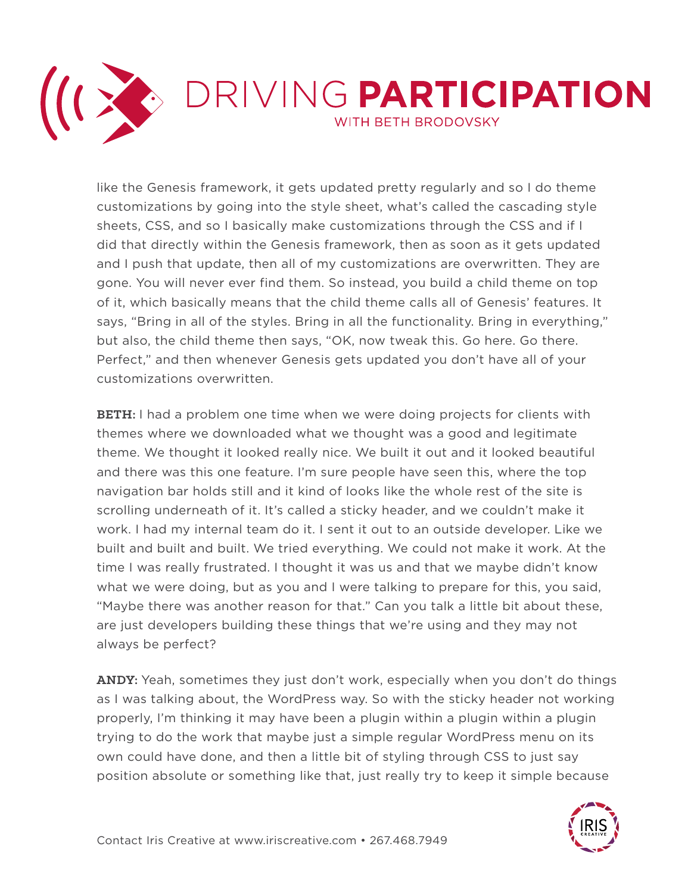

like the Genesis framework, it gets updated pretty regularly and so I do theme customizations by going into the style sheet, what's called the cascading style sheets, CSS, and so I basically make customizations through the CSS and if I did that directly within the Genesis framework, then as soon as it gets updated and I push that update, then all of my customizations are overwritten. They are gone. You will never ever find them. So instead, you build a child theme on top of it, which basically means that the child theme calls all of Genesis' features. It says, "Bring in all of the styles. Bring in all the functionality. Bring in everything," but also, the child theme then says, "OK, now tweak this. Go here. Go there. Perfect," and then whenever Genesis gets updated you don't have all of your customizations overwritten.

**BETH:** I had a problem one time when we were doing projects for clients with themes where we downloaded what we thought was a good and legitimate theme. We thought it looked really nice. We built it out and it looked beautiful and there was this one feature. I'm sure people have seen this, where the top navigation bar holds still and it kind of looks like the whole rest of the site is scrolling underneath of it. It's called a sticky header, and we couldn't make it work. I had my internal team do it. I sent it out to an outside developer. Like we built and built and built. We tried everything. We could not make it work. At the time I was really frustrated. I thought it was us and that we maybe didn't know what we were doing, but as you and I were talking to prepare for this, you said, "Maybe there was another reason for that." Can you talk a little bit about these, are just developers building these things that we're using and they may not always be perfect?

**ANDY:** Yeah, sometimes they just don't work, especially when you don't do things as I was talking about, the WordPress way. So with the sticky header not working properly, I'm thinking it may have been a plugin within a plugin within a plugin trying to do the work that maybe just a simple regular WordPress menu on its own could have done, and then a little bit of styling through CSS to just say position absolute or something like that, just really try to keep it simple because

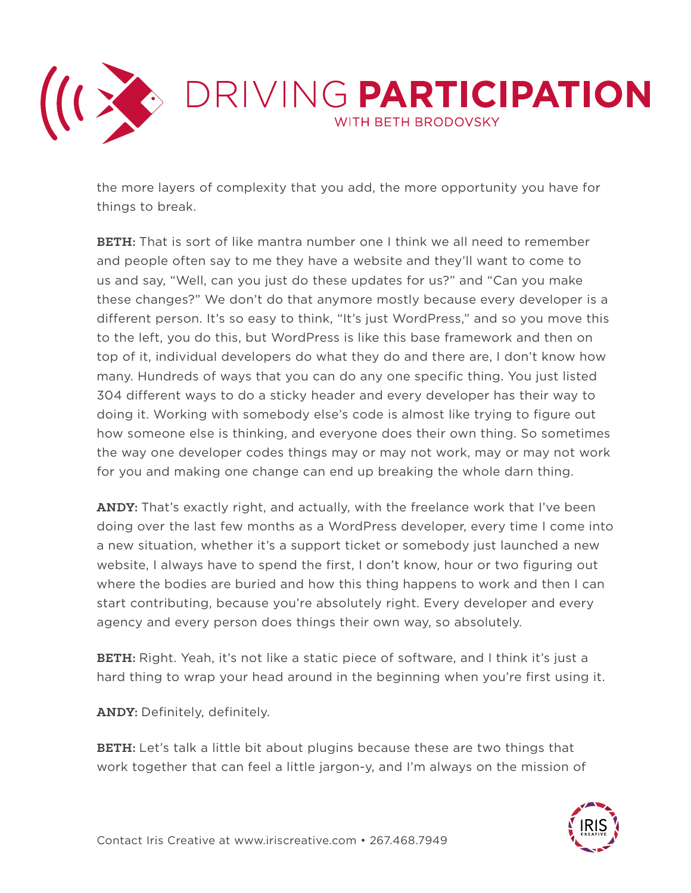

the more layers of complexity that you add, the more opportunity you have for things to break.

**BETH:** That is sort of like mantra number one I think we all need to remember and people often say to me they have a website and they'll want to come to us and say, "Well, can you just do these updates for us?" and "Can you make these changes?" We don't do that anymore mostly because every developer is a different person. It's so easy to think, "It's just WordPress," and so you move this to the left, you do this, but WordPress is like this base framework and then on top of it, individual developers do what they do and there are, I don't know how many. Hundreds of ways that you can do any one specific thing. You just listed 304 different ways to do a sticky header and every developer has their way to doing it. Working with somebody else's code is almost like trying to figure out how someone else is thinking, and everyone does their own thing. So sometimes the way one developer codes things may or may not work, may or may not work for you and making one change can end up breaking the whole darn thing.

**ANDY:** That's exactly right, and actually, with the freelance work that I've been doing over the last few months as a WordPress developer, every time I come into a new situation, whether it's a support ticket or somebody just launched a new website, I always have to spend the first, I don't know, hour or two figuring out where the bodies are buried and how this thing happens to work and then I can start contributing, because you're absolutely right. Every developer and every agency and every person does things their own way, so absolutely.

**BETH:** Right. Yeah, it's not like a static piece of software, and I think it's just a hard thing to wrap your head around in the beginning when you're first using it.

**ANDY:** Definitely, definitely.

**BETH:** Let's talk a little bit about plugins because these are two things that work together that can feel a little jargon-y, and I'm always on the mission of

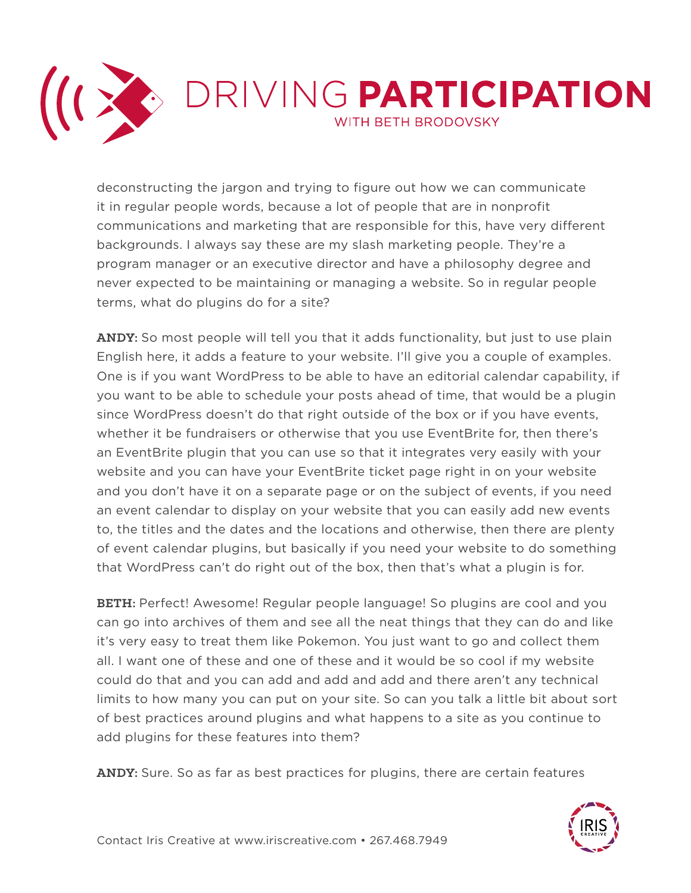

deconstructing the jargon and trying to figure out how we can communicate it in regular people words, because a lot of people that are in nonprofit communications and marketing that are responsible for this, have very different backgrounds. I always say these are my slash marketing people. They're a program manager or an executive director and have a philosophy degree and never expected to be maintaining or managing a website. So in regular people terms, what do plugins do for a site?

**ANDY:** So most people will tell you that it adds functionality, but just to use plain English here, it adds a feature to your website. I'll give you a couple of examples. One is if you want WordPress to be able to have an editorial calendar capability, if you want to be able to schedule your posts ahead of time, that would be a plugin since WordPress doesn't do that right outside of the box or if you have events, whether it be fundraisers or otherwise that you use EventBrite for, then there's an EventBrite plugin that you can use so that it integrates very easily with your website and you can have your EventBrite ticket page right in on your website and you don't have it on a separate page or on the subject of events, if you need an event calendar to display on your website that you can easily add new events to, the titles and the dates and the locations and otherwise, then there are plenty of event calendar plugins, but basically if you need your website to do something that WordPress can't do right out of the box, then that's what a plugin is for.

**BETH:** Perfect! Awesome! Regular people language! So plugins are cool and you can go into archives of them and see all the neat things that they can do and like it's very easy to treat them like Pokemon. You just want to go and collect them all. I want one of these and one of these and it would be so cool if my website could do that and you can add and add and add and there aren't any technical limits to how many you can put on your site. So can you talk a little bit about sort of best practices around plugins and what happens to a site as you continue to add plugins for these features into them?

**ANDY:** Sure. So as far as best practices for plugins, there are certain features

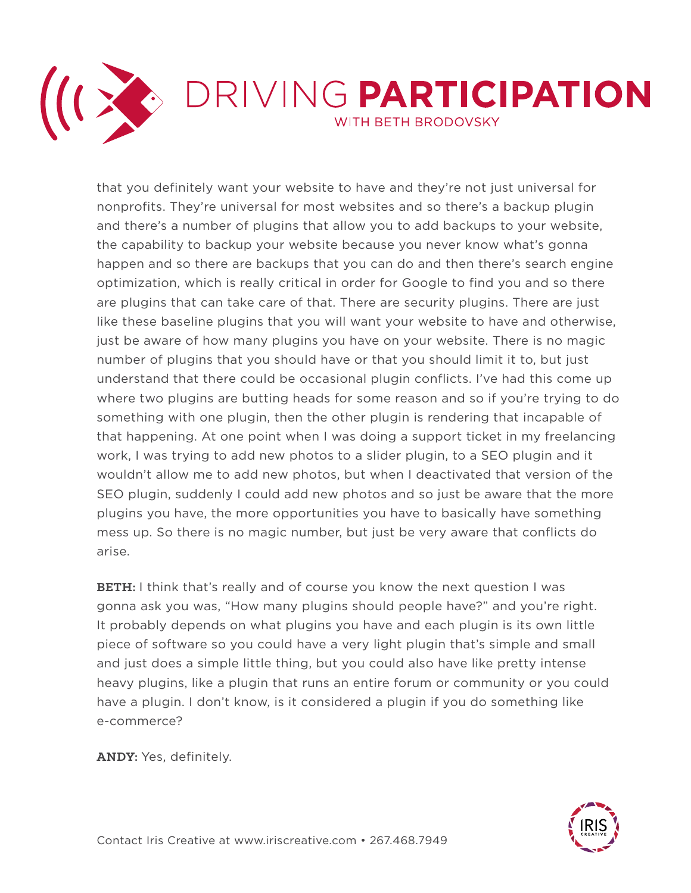

that you definitely want your website to have and they're not just universal for nonprofits. They're universal for most websites and so there's a backup plugin and there's a number of plugins that allow you to add backups to your website, the capability to backup your website because you never know what's gonna happen and so there are backups that you can do and then there's search engine optimization, which is really critical in order for Google to find you and so there are plugins that can take care of that. There are security plugins. There are just like these baseline plugins that you will want your website to have and otherwise, just be aware of how many plugins you have on your website. There is no magic number of plugins that you should have or that you should limit it to, but just understand that there could be occasional plugin conflicts. I've had this come up where two plugins are butting heads for some reason and so if you're trying to do something with one plugin, then the other plugin is rendering that incapable of that happening. At one point when I was doing a support ticket in my freelancing work, I was trying to add new photos to a slider plugin, to a SEO plugin and it wouldn't allow me to add new photos, but when I deactivated that version of the SEO plugin, suddenly I could add new photos and so just be aware that the more plugins you have, the more opportunities you have to basically have something mess up. So there is no magic number, but just be very aware that conflicts do arise.

**BETH:** I think that's really and of course you know the next question I was gonna ask you was, "How many plugins should people have?" and you're right. It probably depends on what plugins you have and each plugin is its own little piece of software so you could have a very light plugin that's simple and small and just does a simple little thing, but you could also have like pretty intense heavy plugins, like a plugin that runs an entire forum or community or you could have a plugin. I don't know, is it considered a plugin if you do something like e-commerce?

**ANDY:** Yes, definitely.

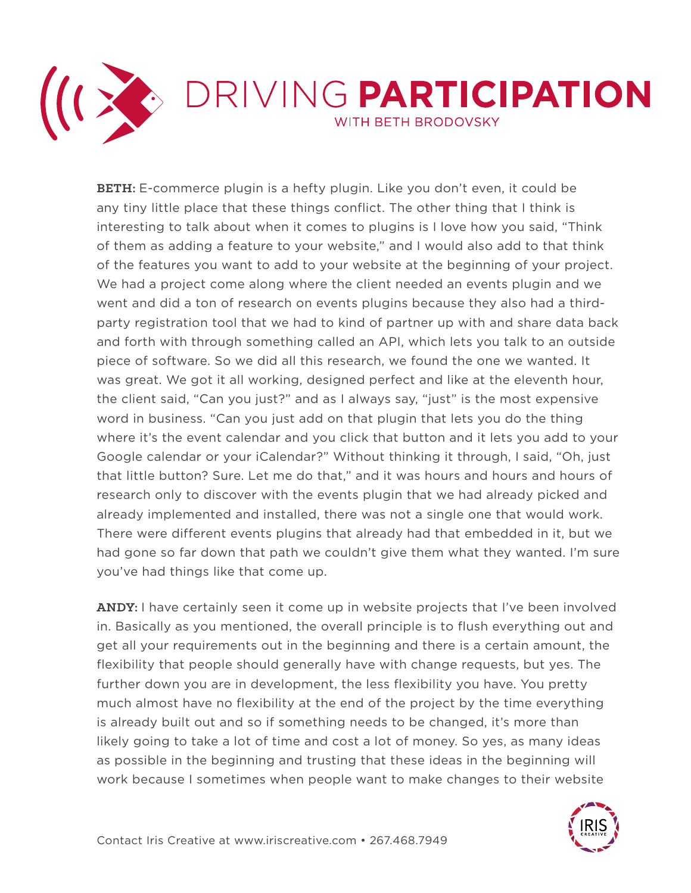

**BETH:** E-commerce plugin is a hefty plugin. Like you don't even, it could be any tiny little place that these things conflict. The other thing that I think is interesting to talk about when it comes to plugins is I love how you said, "Think of them as adding a feature to your website," and I would also add to that think of the features you want to add to your website at the beginning of your project. We had a project come along where the client needed an events plugin and we went and did a ton of research on events plugins because they also had a thirdparty registration tool that we had to kind of partner up with and share data back and forth with through something called an API, which lets you talk to an outside piece of software. So we did all this research, we found the one we wanted. It was great. We got it all working, designed perfect and like at the eleventh hour, the client said, "Can you just?" and as I always say, "just" is the most expensive word in business. "Can you just add on that plugin that lets you do the thing where it's the event calendar and you click that button and it lets you add to your Google calendar or your iCalendar?" Without thinking it through, I said, "Oh, just that little button? Sure. Let me do that," and it was hours and hours and hours of research only to discover with the events plugin that we had already picked and already implemented and installed, there was not a single one that would work. There were different events plugins that already had that embedded in it, but we had gone so far down that path we couldn't give them what they wanted. I'm sure you've had things like that come up.

**ANDY:** I have certainly seen it come up in website projects that I've been involved in. Basically as you mentioned, the overall principle is to flush everything out and get all your requirements out in the beginning and there is a certain amount, the flexibility that people should generally have with change requests, but yes. The further down you are in development, the less flexibility you have. You pretty much almost have no flexibility at the end of the project by the time everything is already built out and so if something needs to be changed, it's more than likely going to take a lot of time and cost a lot of money. So yes, as many ideas as possible in the beginning and trusting that these ideas in the beginning will work because I sometimes when people want to make changes to their website

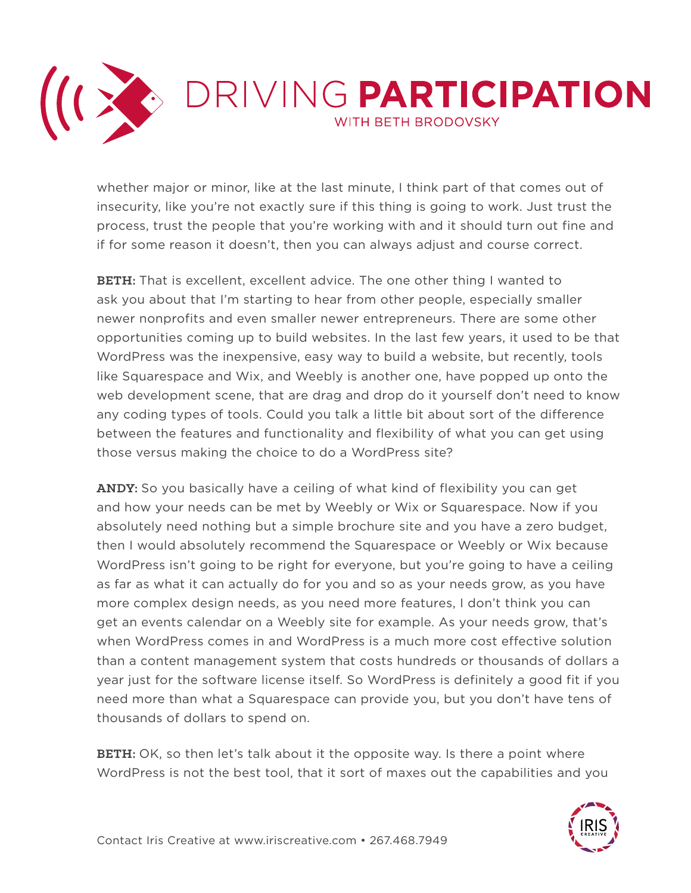

whether major or minor, like at the last minute, I think part of that comes out of insecurity, like you're not exactly sure if this thing is going to work. Just trust the process, trust the people that you're working with and it should turn out fine and if for some reason it doesn't, then you can always adjust and course correct.

**BETH:** That is excellent, excellent advice. The one other thing I wanted to ask you about that I'm starting to hear from other people, especially smaller newer nonprofits and even smaller newer entrepreneurs. There are some other opportunities coming up to build websites. In the last few years, it used to be that WordPress was the inexpensive, easy way to build a website, but recently, tools like Squarespace and Wix, and Weebly is another one, have popped up onto the web development scene, that are drag and drop do it yourself don't need to know any coding types of tools. Could you talk a little bit about sort of the difference between the features and functionality and flexibility of what you can get using those versus making the choice to do a WordPress site?

**ANDY:** So you basically have a ceiling of what kind of flexibility you can get and how your needs can be met by Weebly or Wix or Squarespace. Now if you absolutely need nothing but a simple brochure site and you have a zero budget, then I would absolutely recommend the Squarespace or Weebly or Wix because WordPress isn't going to be right for everyone, but you're going to have a ceiling as far as what it can actually do for you and so as your needs grow, as you have more complex design needs, as you need more features, I don't think you can get an events calendar on a Weebly site for example. As your needs grow, that's when WordPress comes in and WordPress is a much more cost effective solution than a content management system that costs hundreds or thousands of dollars a year just for the software license itself. So WordPress is definitely a good fit if you need more than what a Squarespace can provide you, but you don't have tens of thousands of dollars to spend on.

**BETH:** OK, so then let's talk about it the opposite way. Is there a point where WordPress is not the best tool, that it sort of maxes out the capabilities and you

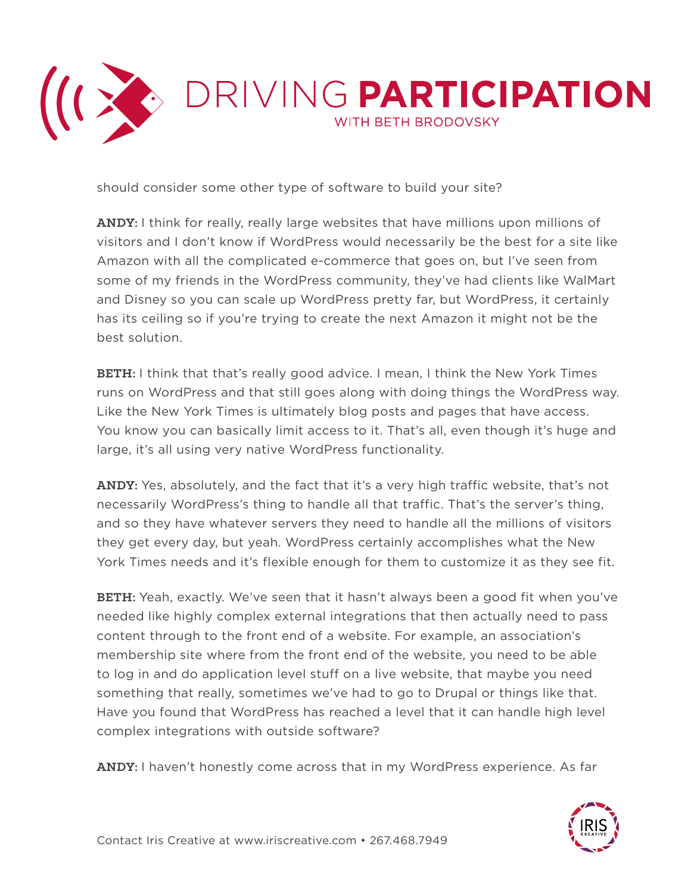

should consider some other type of software to build your site?

**ANDY:** I think for really, really large websites that have millions upon millions of visitors and I don't know if WordPress would necessarily be the best for a site like Amazon with all the complicated e-commerce that goes on, but I've seen from some of my friends in the WordPress community, they've had clients like WalMart and Disney so you can scale up WordPress pretty far, but WordPress, it certainly has its ceiling so if you're trying to create the next Amazon it might not be the best solution.

**BETH:** I think that that's really good advice. I mean, I think the New York Times runs on WordPress and that still goes along with doing things the WordPress way. Like the New York Times is ultimately blog posts and pages that have access. You know you can basically limit access to it. That's all, even though it's huge and large, it's all using very native WordPress functionality.

**ANDY:** Yes, absolutely, and the fact that it's a very high traffic website, that's not necessarily WordPress's thing to handle all that traffic. That's the server's thing, and so they have whatever servers they need to handle all the millions of visitors they get every day, but yeah. WordPress certainly accomplishes what the New York Times needs and it's flexible enough for them to customize it as they see fit.

**BETH:** Yeah, exactly. We've seen that it hasn't always been a good fit when you've needed like highly complex external integrations that then actually need to pass content through to the front end of a website. For example, an association's membership site where from the front end of the website, you need to be able to log in and do application level stuff on a live website, that maybe you need something that really, sometimes we've had to go to Drupal or things like that. Have you found that WordPress has reached a level that it can handle high level complex integrations with outside software?

**ANDY:** I haven't honestly come across that in my WordPress experience. As far

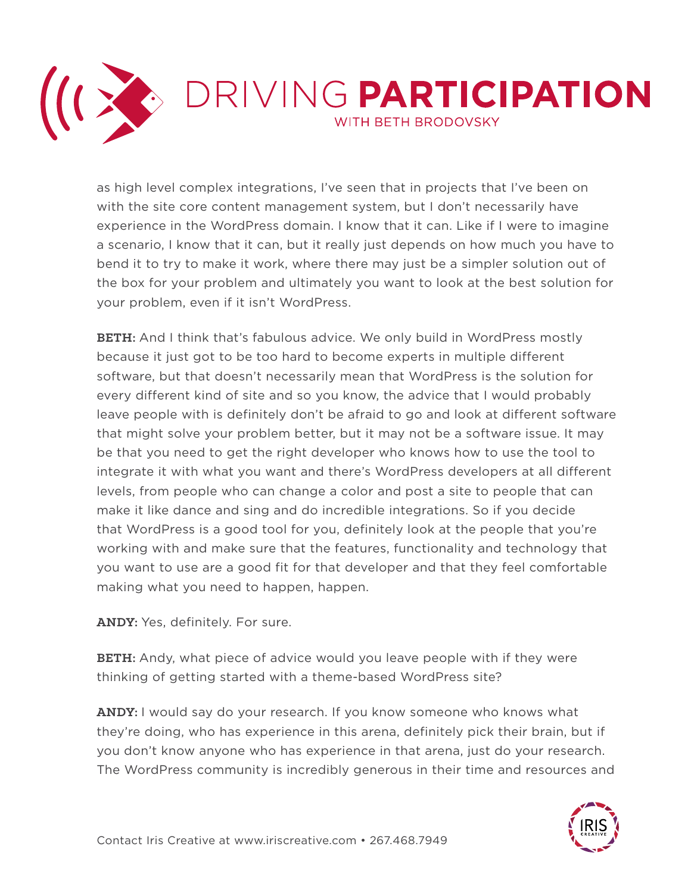

as high level complex integrations, I've seen that in projects that I've been on with the site core content management system, but I don't necessarily have experience in the WordPress domain. I know that it can. Like if I were to imagine a scenario, I know that it can, but it really just depends on how much you have to bend it to try to make it work, where there may just be a simpler solution out of the box for your problem and ultimately you want to look at the best solution for your problem, even if it isn't WordPress.

**BETH:** And I think that's fabulous advice. We only build in WordPress mostly because it just got to be too hard to become experts in multiple different software, but that doesn't necessarily mean that WordPress is the solution for every different kind of site and so you know, the advice that I would probably leave people with is definitely don't be afraid to go and look at different software that might solve your problem better, but it may not be a software issue. It may be that you need to get the right developer who knows how to use the tool to integrate it with what you want and there's WordPress developers at all different levels, from people who can change a color and post a site to people that can make it like dance and sing and do incredible integrations. So if you decide that WordPress is a good tool for you, definitely look at the people that you're working with and make sure that the features, functionality and technology that you want to use are a good fit for that developer and that they feel comfortable making what you need to happen, happen.

**ANDY:** Yes, definitely. For sure.

**BETH:** Andy, what piece of advice would you leave people with if they were thinking of getting started with a theme-based WordPress site?

**ANDY:** I would say do your research. If you know someone who knows what they're doing, who has experience in this arena, definitely pick their brain, but if you don't know anyone who has experience in that arena, just do your research. The WordPress community is incredibly generous in their time and resources and